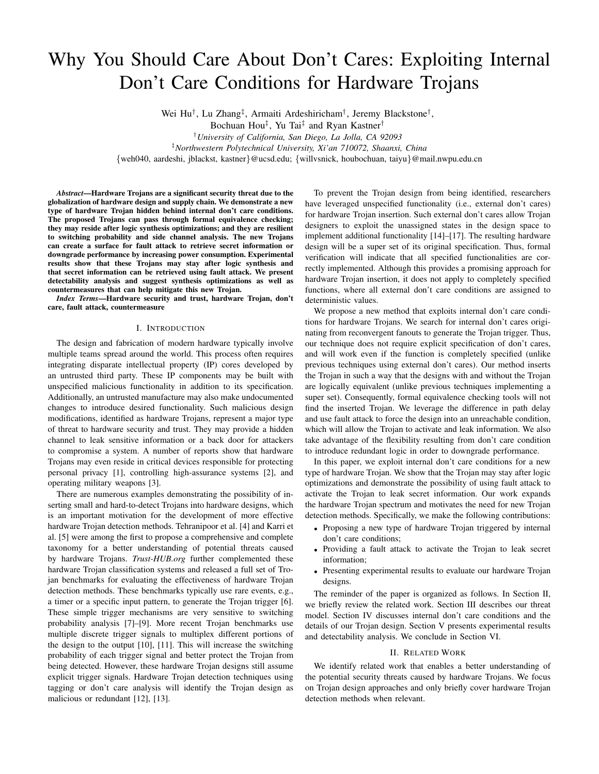# Why You Should Care About Don't Cares: Exploiting Internal Don't Care Conditions for Hardware Trojans

Wei Hu<sup>†</sup>, Lu Zhang<sup>‡</sup>, Armaiti Ardeshiricham<sup>†</sup>, Jeremy Blackstone<sup>†</sup>,

Bochuan Hou‡ , Yu Tai‡ and Ryan Kastner†

†*University of California, San Diego, La Jolla, CA 92093*

‡*Northwestern Polytechnical University, Xi'an 710072, Shaanxi, China*

{weh040, aardeshi, jblackst, kastner}@ucsd.edu; {willvsnick, houbochuan, taiyu}@mail.nwpu.edu.cn

*Abstract*—Hardware Trojans are a significant security threat due to the globalization of hardware design and supply chain. We demonstrate a new type of hardware Trojan hidden behind internal don't care conditions. The proposed Trojans can pass through formal equivalence checking; they may reside after logic synthesis optimizations; and they are resilient to switching probability and side channel analysis. The new Trojans can create a surface for fault attack to retrieve secret information or downgrade performance by increasing power consumption. Experimental results show that these Trojans may stay after logic synthesis and that secret information can be retrieved using fault attack. We present detectability analysis and suggest synthesis optimizations as well as countermeasures that can help mitigate this new Trojan.

*Index Terms*—Hardware security and trust, hardware Trojan, don't care, fault attack, countermeasure

## I. INTRODUCTION

The design and fabrication of modern hardware typically involve multiple teams spread around the world. This process often requires integrating disparate intellectual property (IP) cores developed by an untrusted third party. These IP components may be built with unspecified malicious functionality in addition to its specification. Additionally, an untrusted manufacture may also make undocumented changes to introduce desired functionality. Such malicious design modifications, identified as hardware Trojans, represent a major type of threat to hardware security and trust. They may provide a hidden channel to leak sensitive information or a back door for attackers to compromise a system. A number of reports show that hardware Trojans may even reside in critical devices responsible for protecting personal privacy [1], controlling high-assurance systems [2], and operating military weapons [3].

There are numerous examples demonstrating the possibility of inserting small and hard-to-detect Trojans into hardware designs, which is an important motivation for the development of more effective hardware Trojan detection methods. Tehranipoor et al. [4] and Karri et al. [5] were among the first to propose a comprehensive and complete taxonomy for a better understanding of potential threats caused by hardware Trojans. *Trust-HUB.org* further complemented these hardware Trojan classification systems and released a full set of Trojan benchmarks for evaluating the effectiveness of hardware Trojan detection methods. These benchmarks typically use rare events, e.g., a timer or a specific input pattern, to generate the Trojan trigger [6]. These simple trigger mechanisms are very sensitive to switching probability analysis [7]–[9]. More recent Trojan benchmarks use multiple discrete trigger signals to multiplex different portions of the design to the output [10], [11]. This will increase the switching probability of each trigger signal and better protect the Trojan from being detected. However, these hardware Trojan designs still assume explicit trigger signals. Hardware Trojan detection techniques using tagging or don't care analysis will identify the Trojan design as malicious or redundant [12], [13].

To prevent the Trojan design from being identified, researchers have leveraged unspecified functionality (i.e., external don't cares) for hardware Trojan insertion. Such external don't cares allow Trojan designers to exploit the unassigned states in the design space to implement additional functionality [14]–[17]. The resulting hardware design will be a super set of its original specification. Thus, formal verification will indicate that all specified functionalities are correctly implemented. Although this provides a promising approach for hardware Trojan insertion, it does not apply to completely specified functions, where all external don't care conditions are assigned to deterministic values.

We propose a new method that exploits internal don't care conditions for hardware Trojans. We search for internal don't cares originating from reconvergent fanouts to generate the Trojan trigger. Thus, our technique does not require explicit specification of don't cares, and will work even if the function is completely specified (unlike previous techniques using external don't cares). Our method inserts the Trojan in such a way that the designs with and without the Trojan are logically equivalent (unlike previous techniques implementing a super set). Consequently, formal equivalence checking tools will not find the inserted Trojan. We leverage the difference in path delay and use fault attack to force the design into an unreachable condition, which will allow the Trojan to activate and leak information. We also take advantage of the flexibility resulting from don't care condition to introduce redundant logic in order to downgrade performance.

In this paper, we exploit internal don't care conditions for a new type of hardware Trojan. We show that the Trojan may stay after logic optimizations and demonstrate the possibility of using fault attack to activate the Trojan to leak secret information. Our work expands the hardware Trojan spectrum and motivates the need for new Trojan detection methods. Specifically, we make the following contributions:

- Proposing a new type of hardware Trojan triggered by internal don't care conditions;
- Providing a fault attack to activate the Trojan to leak secret information;
- Presenting experimental results to evaluate our hardware Trojan designs.

The reminder of the paper is organized as follows. In Section II, we briefly review the related work. Section III describes our threat model. Section IV discusses internal don't care conditions and the details of our Trojan design. Section V presents experimental results and detectability analysis. We conclude in Section VI.

## II. RELATED WORK

We identify related work that enables a better understanding of the potential security threats caused by hardware Trojans. We focus on Trojan design approaches and only briefly cover hardware Trojan detection methods when relevant.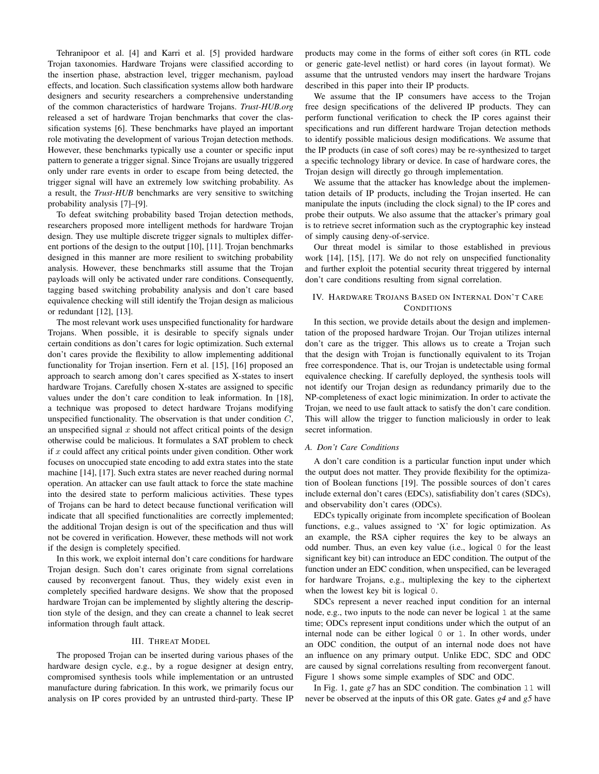Tehranipoor et al. [4] and Karri et al. [5] provided hardware Trojan taxonomies. Hardware Trojans were classified according to the insertion phase, abstraction level, trigger mechanism, payload effects, and location. Such classification systems allow both hardware designers and security researchers a comprehensive understanding of the common characteristics of hardware Trojans. *Trust-HUB.org* released a set of hardware Trojan benchmarks that cover the classification systems [6]. These benchmarks have played an important role motivating the development of various Trojan detection methods. However, these benchmarks typically use a counter or specific input pattern to generate a trigger signal. Since Trojans are usually triggered only under rare events in order to escape from being detected, the trigger signal will have an extremely low switching probability. As a result, the *Trust-HUB* benchmarks are very sensitive to switching probability analysis [7]–[9].

To defeat switching probability based Trojan detection methods, researchers proposed more intelligent methods for hardware Trojan design. They use multiple discrete trigger signals to multiplex different portions of the design to the output [10], [11]. Trojan benchmarks designed in this manner are more resilient to switching probability analysis. However, these benchmarks still assume that the Trojan payloads will only be activated under rare conditions. Consequently, tagging based switching probability analysis and don't care based equivalence checking will still identify the Trojan design as malicious or redundant [12], [13].

The most relevant work uses unspecified functionality for hardware Trojans. When possible, it is desirable to specify signals under certain conditions as don't cares for logic optimization. Such external don't cares provide the flexibility to allow implementing additional functionality for Trojan insertion. Fern et al. [15], [16] proposed an approach to search among don't cares specified as X-states to insert hardware Trojans. Carefully chosen X-states are assigned to specific values under the don't care condition to leak information. In [18], a technique was proposed to detect hardware Trojans modifying unspecified functionality. The observation is that under condition  $C$ , an unspecified signal  $x$  should not affect critical points of the design otherwise could be malicious. It formulates a SAT problem to check if  $x$  could affect any critical points under given condition. Other work focuses on unoccupied state encoding to add extra states into the state machine [14], [17]. Such extra states are never reached during normal operation. An attacker can use fault attack to force the state machine into the desired state to perform malicious activities. These types of Trojans can be hard to detect because functional verification will indicate that all specified functionalities are correctly implemented; the additional Trojan design is out of the specification and thus will not be covered in verification. However, these methods will not work if the design is completely specified.

In this work, we exploit internal don't care conditions for hardware Trojan design. Such don't cares originate from signal correlations caused by reconvergent fanout. Thus, they widely exist even in completely specified hardware designs. We show that the proposed hardware Trojan can be implemented by slightly altering the description style of the design, and they can create a channel to leak secret information through fault attack.

#### III. THREAT MODEL

The proposed Trojan can be inserted during various phases of the hardware design cycle, e.g., by a rogue designer at design entry, compromised synthesis tools while implementation or an untrusted manufacture during fabrication. In this work, we primarily focus our analysis on IP cores provided by an untrusted third-party. These IP products may come in the forms of either soft cores (in RTL code or generic gate-level netlist) or hard cores (in layout format). We assume that the untrusted vendors may insert the hardware Trojans described in this paper into their IP products.

We assume that the IP consumers have access to the Trojan free design specifications of the delivered IP products. They can perform functional verification to check the IP cores against their specifications and run different hardware Trojan detection methods to identify possible malicious design modifications. We assume that the IP products (in case of soft cores) may be re-synthesized to target a specific technology library or device. In case of hardware cores, the Trojan design will directly go through implementation.

We assume that the attacker has knowledge about the implementation details of IP products, including the Trojan inserted. He can manipulate the inputs (including the clock signal) to the IP cores and probe their outputs. We also assume that the attacker's primary goal is to retrieve secret information such as the cryptographic key instead of simply causing deny-of-service.

Our threat model is similar to those established in previous work [14], [15], [17]. We do not rely on unspecified functionality and further exploit the potential security threat triggered by internal don't care conditions resulting from signal correlation.

## IV. HARDWARE TROJANS BASED ON INTERNAL DON'T CARE **CONDITIONS**

In this section, we provide details about the design and implementation of the proposed hardware Trojan. Our Trojan utilizes internal don't care as the trigger. This allows us to create a Trojan such that the design with Trojan is functionally equivalent to its Trojan free correspondence. That is, our Trojan is undetectable using formal equivalence checking. If carefully deployed, the synthesis tools will not identify our Trojan design as redundancy primarily due to the NP-completeness of exact logic minimization. In order to activate the Trojan, we need to use fault attack to satisfy the don't care condition. This will allow the trigger to function maliciously in order to leak secret information.

## *A. Don't Care Conditions*

A don't care condition is a particular function input under which the output does not matter. They provide flexibility for the optimization of Boolean functions [19]. The possible sources of don't cares include external don't cares (EDCs), satisfiability don't cares (SDCs), and observability don't cares (ODCs).

EDCs typically originate from incomplete specification of Boolean functions, e.g., values assigned to 'X' for logic optimization. As an example, the RSA cipher requires the key to be always an odd number. Thus, an even key value (i.e., logical 0 for the least significant key bit) can introduce an EDC condition. The output of the function under an EDC condition, when unspecified, can be leveraged for hardware Trojans, e.g., multiplexing the key to the ciphertext when the lowest key bit is logical 0.

SDCs represent a never reached input condition for an internal node, e.g., two inputs to the node can never be logical 1 at the same time; ODCs represent input conditions under which the output of an internal node can be either logical 0 or 1. In other words, under an ODC condition, the output of an internal node does not have an influence on any primary output. Unlike EDC, SDC and ODC are caused by signal correlations resulting from reconvergent fanout. Figure 1 shows some simple examples of SDC and ODC.

In Fig. 1, gate *g7* has an SDC condition. The combination 11 will never be observed at the inputs of this OR gate. Gates *g4* and *g5* have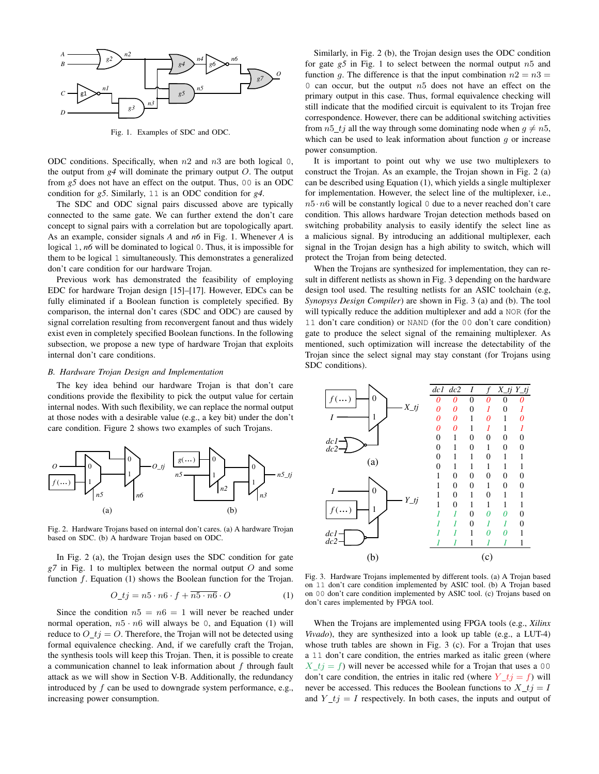

Fig. 1. Examples of SDC and ODC.

ODC conditions. Specifically, when  $n2$  and  $n3$  are both logical 0, the output from  $g4$  will dominate the primary output  $O$ . The output from *g5* does not have an effect on the output. Thus, 00 is an ODC condition for *g5*. Similarly, 11 is an ODC condition for *g4*.

The SDC and ODC signal pairs discussed above are typically connected to the same gate. We can further extend the don't care concept to signal pairs with a correlation but are topologically apart. As an example, consider signals *A* and *n6* in Fig. 1. Whenever *A* is logical 1, *n6* will be dominated to logical 0. Thus, it is impossible for them to be logical 1 simultaneously. This demonstrates a generalized don't care condition for our hardware Trojan.

Previous work has demonstrated the feasibility of employing EDC for hardware Trojan design [15]–[17]. However, EDCs can be fully eliminated if a Boolean function is completely specified. By comparison, the internal don't cares (SDC and ODC) are caused by signal correlation resulting from reconvergent fanout and thus widely exist even in completely specified Boolean functions. In the following subsection, we propose a new type of hardware Trojan that exploits internal don't care conditions.

## *B. Hardware Trojan Design and Implementation*

The key idea behind our hardware Trojan is that don't care conditions provide the flexibility to pick the output value for certain internal nodes. With such flexibility, we can replace the normal output at those nodes with a desirable value (e.g., a key bit) under the don't care condition. Figure 2 shows two examples of such Trojans.



Fig. 2. Hardware Trojans based on internal don't cares. (a) A hardware Trojan based on SDC. (b) A hardware Trojan based on ODC.

In Fig. 2 (a), the Trojan design uses the SDC condition for gate *g7* in Fig. 1 to multiplex between the normal output O and some function  $f$ . Equation (1) shows the Boolean function for the Trojan.

$$
O_{\perp}t j = n5 \cdot n6 \cdot f + \overline{n5 \cdot n6} \cdot O \tag{1}
$$

Since the condition  $n5 = n6 = 1$  will never be reached under normal operation,  $n5 \cdot n6$  will always be 0, and Equation (1) will reduce to  $O_t = O$ . Therefore, the Trojan will not be detected using formal equivalence checking. And, if we carefully craft the Trojan, the synthesis tools will keep this Trojan. Then, it is possible to create a communication channel to leak information about  $f$  through fault attack as we will show in Section V-B. Additionally, the redundancy introduced by  $f$  can be used to downgrade system performance, e.g., increasing power consumption.

Similarly, in Fig. 2 (b), the Trojan design uses the ODC condition for gate  $g5$  in Fig. 1 to select between the normal output  $n5$  and function g. The difference is that the input combination  $n2 = n3$ 0 can occur, but the output  $n5$  does not have an effect on the primary output in this case. Thus, formal equivalence checking will still indicate that the modified circuit is equivalent to its Trojan free correspondence. However, there can be additional switching activities from  $n5_t$  all the way through some dominating node when  $g \neq n5$ , which can be used to leak information about function  $q$  or increase power consumption.

It is important to point out why we use two multiplexers to construct the Trojan. As an example, the Trojan shown in Fig. 2 (a) can be described using Equation (1), which yields a single multiplexer for implementation. However, the select line of the multiplexer, i.e.,  $n5 \cdot n6$  will be constantly logical 0 due to a never reached don't care condition. This allows hardware Trojan detection methods based on switching probability analysis to easily identify the select line as a malicious signal. By introducing an additional multiplexer, each signal in the Trojan design has a high ability to switch, which will protect the Trojan from being detected.

When the Trojans are synthesized for implementation, they can result in different netlists as shown in Fig. 3 depending on the hardware design tool used. The resulting netlists for an ASIC toolchain (e.g, *Synopsys Design Compiler*) are shown in Fig. 3 (a) and (b). The tool will typically reduce the addition multiplexer and add a NOR (for the 11 don't care condition) or NAND (for the 00 don't care condition) gate to produce the select signal of the remaining multiplexer. As mentioned, such optimization will increase the detectability of the Trojan since the select signal may stay constant (for Trojans using SDC conditions).



Fig. 3. Hardware Trojans implemented by different tools. (a) A Trojan based on 11 don't care condition implemented by ASIC tool. (b) A Trojan based on 00 don't care condition implemented by ASIC tool. (c) Trojans based on don't cares implemented by FPGA tool.

When the Trojans are implemented using FPGA tools (e.g., *Xilinx Vivado*), they are synthesized into a look up table (e.g., a LUT-4) whose truth tables are shown in Fig. 3 (c). For a Trojan that uses a 11 don't care condition, the entries marked as italic green (where  $X_t = f$ ) will never be accessed while for a Trojan that uses a 00 don't care condition, the entries in italic red (where  $Y_t j = f$ ) will never be accessed. This reduces the Boolean functions to  $X_t = I$ and  $Y_t = I$  respectively. In both cases, the inputs and output of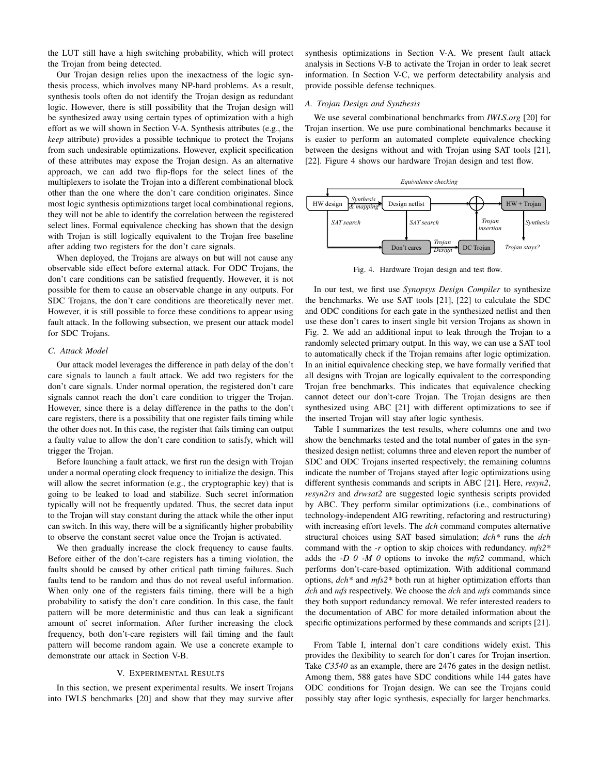the LUT still have a high switching probability, which will protect the Trojan from being detected.

Our Trojan design relies upon the inexactness of the logic synthesis process, which involves many NP-hard problems. As a result, synthesis tools often do not identify the Trojan design as redundant logic. However, there is still possibility that the Trojan design will be synthesized away using certain types of optimization with a high effort as we will shown in Section V-A. Synthesis attributes (e.g., the *keep* attribute) provides a possible technique to protect the Trojans from such undesirable optimizations. However, explicit specification of these attributes may expose the Trojan design. As an alternative approach, we can add two flip-flops for the select lines of the multiplexers to isolate the Trojan into a different combinational block other than the one where the don't care condition originates. Since most logic synthesis optimizations target local combinational regions, they will not be able to identify the correlation between the registered select lines. Formal equivalence checking has shown that the design with Trojan is still logically equivalent to the Trojan free baseline after adding two registers for the don't care signals.

When deployed, the Trojans are always on but will not cause any observable side effect before external attack. For ODC Trojans, the don't care conditions can be satisfied frequently. However, it is not possible for them to cause an observable change in any outputs. For SDC Trojans, the don't care conditions are theoretically never met. However, it is still possible to force these conditions to appear using fault attack. In the following subsection, we present our attack model for SDC Trojans.

#### *C. Attack Model*

Our attack model leverages the difference in path delay of the don't care signals to launch a fault attack. We add two registers for the don't care signals. Under normal operation, the registered don't care signals cannot reach the don't care condition to trigger the Trojan. However, since there is a delay difference in the paths to the don't care registers, there is a possibility that one register fails timing while the other does not. In this case, the register that fails timing can output a faulty value to allow the don't care condition to satisfy, which will trigger the Trojan.

Before launching a fault attack, we first run the design with Trojan under a normal operating clock frequency to initialize the design. This will allow the secret information (e.g., the cryptographic key) that is going to be leaked to load and stabilize. Such secret information typically will not be frequently updated. Thus, the secret data input to the Trojan will stay constant during the attack while the other input can switch. In this way, there will be a significantly higher probability to observe the constant secret value once the Trojan is activated.

We then gradually increase the clock frequency to cause faults. Before either of the don't-care registers has a timing violation, the faults should be caused by other critical path timing failures. Such faults tend to be random and thus do not reveal useful information. When only one of the registers fails timing, there will be a high probability to satisfy the don't care condition. In this case, the fault pattern will be more deterministic and thus can leak a significant amount of secret information. After further increasing the clock frequency, both don't-care registers will fail timing and the fault pattern will become random again. We use a concrete example to demonstrate our attack in Section V-B.

#### V. EXPERIMENTAL RESULTS

In this section, we present experimental results. We insert Trojans into IWLS benchmarks [20] and show that they may survive after synthesis optimizations in Section V-A. We present fault attack analysis in Sections V-B to activate the Trojan in order to leak secret information. In Section V-C, we perform detectability analysis and provide possible defense techniques.

#### *A. Trojan Design and Synthesis*

We use several combinational benchmarks from *IWLS.org* [20] for Trojan insertion. We use pure combinational benchmarks because it is easier to perform an automated complete equivalence checking between the designs without and with Trojan using SAT tools [21], [22]. Figure 4 shows our hardware Trojan design and test flow.



Fig. 4. Hardware Trojan design and test flow.

In our test, we first use *Synopsys Design Compiler* to synthesize the benchmarks. We use SAT tools [21], [22] to calculate the SDC and ODC conditions for each gate in the synthesized netlist and then use these don't cares to insert single bit version Trojans as shown in Fig. 2. We add an additional input to leak through the Trojan to a randomly selected primary output. In this way, we can use a SAT tool to automatically check if the Trojan remains after logic optimization. In an initial equivalence checking step, we have formally verified that all designs with Trojan are logically equivalent to the corresponding Trojan free benchmarks. This indicates that equivalence checking cannot detect our don't-care Trojan. The Trojan designs are then synthesized using ABC [21] with different optimizations to see if the inserted Trojan will stay after logic synthesis.

Table I summarizes the test results, where columns one and two show the benchmarks tested and the total number of gates in the synthesized design netlist; columns three and eleven report the number of SDC and ODC Trojans inserted respectively; the remaining columns indicate the number of Trojans stayed after logic optimizations using different synthesis commands and scripts in ABC [21]. Here, *resyn2*, *resyn2rs* and *drwsat2* are suggested logic synthesis scripts provided by ABC. They perform similar optimizations (i.e., combinations of technology-independent AIG rewriting, refactoring and restructuring) with increasing effort levels. The *dch* command computes alternative structural choices using SAT based simulation; *dch\** runs the *dch* command with the *-r* option to skip choices with redundancy. *mfs2\** adds the *-D 0 -M 0* options to invoke the *mfs2* command, which performs don't-care-based optimization. With additional command options, *dch\** and *mfs2\** both run at higher optimization efforts than *dch* and *mfs* respectively. We choose the *dch* and *mfs* commands since they both support redundancy removal. We refer interested readers to the documentation of ABC for more detailed information about the specific optimizations performed by these commands and scripts [21].

From Table I, internal don't care conditions widely exist. This provides the flexibility to search for don't cares for Trojan insertion. Take *C3540* as an example, there are 2476 gates in the design netlist. Among them, 588 gates have SDC conditions while 144 gates have ODC conditions for Trojan design. We can see the Trojans could possibly stay after logic synthesis, especially for larger benchmarks.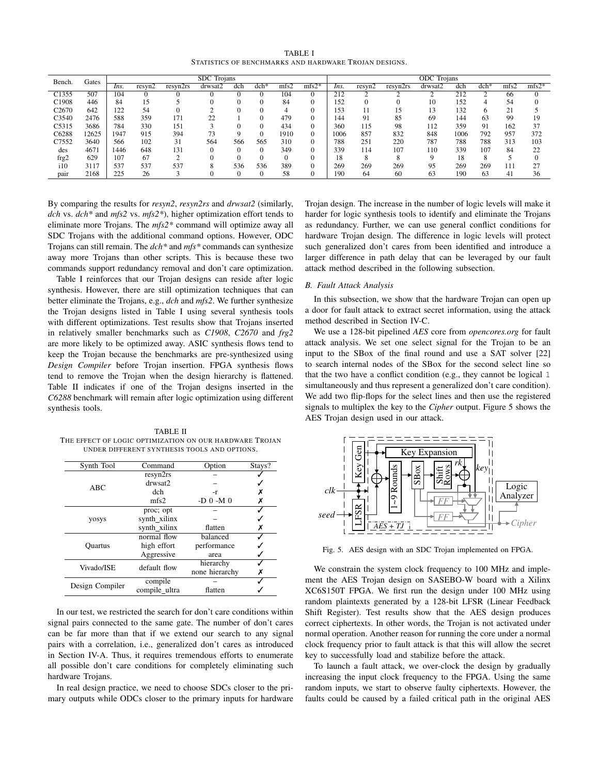TABLE I STATISTICS OF BENCHMARKS AND HARDWARE TROJAN DESIGNS.

| Bench.            | Gates | <b>SDC</b> Trojans |        |                 |         |          |        |      | <b>ODC</b> Trojans |      |        |          |         |      |        |      |         |
|-------------------|-------|--------------------|--------|-----------------|---------|----------|--------|------|--------------------|------|--------|----------|---------|------|--------|------|---------|
|                   |       | Ins.               | resyn2 | resvn2rs        | drwsat2 | dch      | $dch*$ | mfs2 | $mfs2*$            | Ins. | resyn2 | resyn2rs | drwsat2 | dch  | $dch*$ | mfs2 | $mfs2*$ |
| C <sub>1355</sub> | 507   | 104                |        |                 |         |          |        | 104  |                    | 212  |        |          |         | 212  |        | 66   |         |
| C1908             | 446   | 84                 | 15     |                 |         | 0        |        | 84   |                    | 152  |        |          | 10      | 152  |        | 54   |         |
| C <sub>2670</sub> | 642   | 122                | 54     |                 |         |          |        | 4    |                    | 153  | -1     | 15       | 13      | 132  |        | 21   |         |
| C <sub>3540</sub> | 2476  | 588                | 359    | 171             | 22      |          |        | 479  |                    | 144  | 91     | 85       | 69      | 144  | 63     | 99   | 19      |
| C5315             | 3686  | 784                | 330    | 15 <sub>1</sub> |         |          |        | 434  |                    | 360  | 115    | 98       | 112     | 359  | 91     | 162  | 37      |
| C6288             | 12625 | 1947               | 915    | 394             | 73      | Q        |        | 1910 |                    | 1006 | 857    | 832      | 848     | 1006 | 792    | 957  | 372     |
| C7552             | 3640  | 566                | 102    | 31              | 564     | 566      | 565    | 310  |                    | 788  | 251    | 220      | 787     | 788  | 788    | 313  | 103     |
| des               | 4671  | 1446               | 648    | 131             | $_{0}$  | 0        |        | 349  |                    | 339  | 114    | 107      | 110     | 339  | 107    | 84   | 22      |
| frg2              | 629   | 107                | 67     |                 |         | 0        |        |      |                    | 18   | 8      | 8        |         | 18   |        |      |         |
| 110               | 3117  | 537                | 537    | 537             |         | 536      | 536    | 389  |                    | 269  | 269    | 269      | 95      | 269  | 269    | 111  | 27      |
| pair              | 2168  | 225                | 26     |                 |         | $\Omega$ |        | 58   |                    | 190  | -64    | 60       | 63      | 190  | 63     | 41   | 36      |

By comparing the results for *resyn2*, *resyn2rs* and *drwsat2* (similarly, *dch* vs. *dch\** and *mfs2* vs. *mfs2\**), higher optimization effort tends to eliminate more Trojans. The *mfs2\** command will optimize away all SDC Trojans with the additional command options. However, ODC Trojans can still remain. The *dch\** and *mfs\** commands can synthesize away more Trojans than other scripts. This is because these two commands support redundancy removal and don't care optimization.

Table I reinforces that our Trojan designs can reside after logic synthesis. However, there are still optimization techniques that can better eliminate the Trojans, e.g., *dch* and *mfs2*. We further synthesize the Trojan designs listed in Table I using several synthesis tools with different optimizations. Test results show that Trojans inserted in relatively smaller benchmarks such as *C1908*, *C2670* and *frg2* are more likely to be optimized away. ASIC synthesis flows tend to keep the Trojan because the benchmarks are pre-synthesized using *Design Compiler* before Trojan insertion. FPGA synthesis flows tend to remove the Trojan when the design hierarchy is flattened. Table II indicates if one of the Trojan designs inserted in the *C6288* benchmark will remain after logic optimization using different synthesis tools.

TABLE II THE EFFECT OF LOGIC OPTIMIZATION ON OUR HARDWARE TROJAN UNDER DIFFERENT SYNTHESIS TOOLS AND OPTIONS.

| Synth Tool      | Command       | Option         | Stays? |
|-----------------|---------------|----------------|--------|
|                 | resyn2rs      |                |        |
| ABC             | drwsat2       |                |        |
|                 | dch           | -r             |        |
|                 | mfs2          | -D $0$ -M $0$  | Х      |
|                 | proc; opt     |                |        |
| yosys           | synth_xilinx  |                |        |
|                 | synth_xilinx  | flatten        | х      |
|                 | normal flow   | balanced       |        |
| <b>Ouartus</b>  | high effort   | performance    |        |
|                 | Aggressive    | area           |        |
| Vivado/ISE      | default flow  | hierarchy      |        |
|                 |               | none hierarchy |        |
| Design Compiler | compile       |                |        |
|                 | compile ultra | flatten        |        |

In our test, we restricted the search for don't care conditions within signal pairs connected to the same gate. The number of don't cares can be far more than that if we extend our search to any signal pairs with a correlation, i.e., generalized don't cares as introduced in Section IV-A. Thus, it requires tremendous efforts to enumerate all possible don't care conditions for completely eliminating such hardware Trojans.

In real design practice, we need to choose SDCs closer to the primary outputs while ODCs closer to the primary inputs for hardware Trojan design. The increase in the number of logic levels will make it harder for logic synthesis tools to identify and eliminate the Trojans as redundancy. Further, we can use general conflict conditions for hardware Trojan design. The difference in logic levels will protect such generalized don't cares from been identified and introduce a larger difference in path delay that can be leveraged by our fault attack method described in the following subsection.

## *B. Fault Attack Analysis*

In this subsection, we show that the hardware Trojan can open up a door for fault attack to extract secret information, using the attack method described in Section IV-C.

We use a 128-bit pipelined *AES* core from *opencores.org* for fault attack analysis. We set one select signal for the Trojan to be an input to the SBox of the final round and use a SAT solver [22] to search internal nodes of the SBox for the second select line so that the two have a conflict condition (e.g., they cannot be logical 1 simultaneously and thus represent a generalized don't care condition). We add two flip-flops for the select lines and then use the registered signals to multiplex the key to the *Cipher* output. Figure 5 shows the AES Trojan design used in our attack.



Fig. 5. AES design with an SDC Trojan implemented on FPGA.

We constrain the system clock frequency to 100 MHz and implement the AES Trojan design on SASEBO-W board with a Xilinx XC6S150T FPGA. We first run the design under 100 MHz using random plaintexts generated by a 128-bit LFSR (Linear Feedback Shift Register). Test results show that the AES design produces correct ciphertexts. In other words, the Trojan is not activated under normal operation. Another reason for running the core under a normal clock frequency prior to fault attack is that this will allow the secret key to successfully load and stabilize before the attack.

To launch a fault attack, we over-clock the design by gradually increasing the input clock frequency to the FPGA. Using the same random inputs, we start to observe faulty ciphertexts. However, the faults could be caused by a failed critical path in the original AES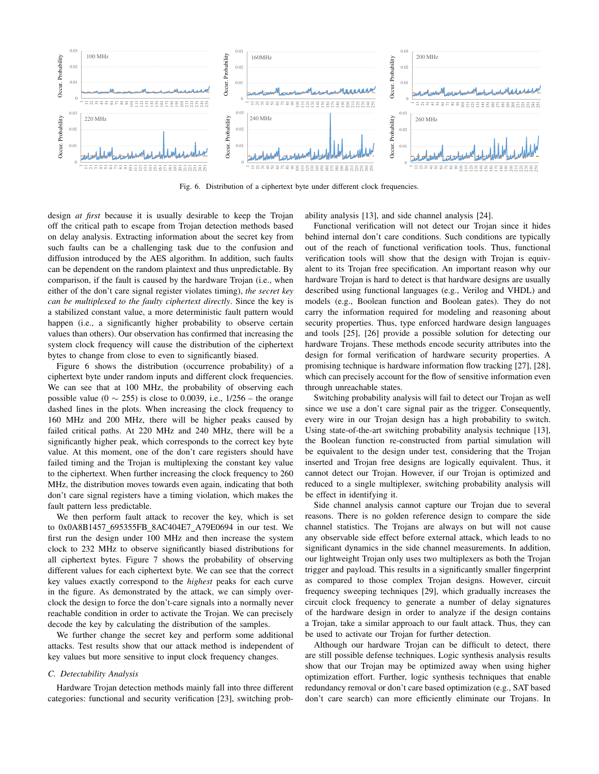

Fig. 6. Distribution of a ciphertext byte under different clock frequencies.

design *at first* because it is usually desirable to keep the Trojan off the critical path to escape from Trojan detection methods based on delay analysis. Extracting information about the secret key from such faults can be a challenging task due to the confusion and diffusion introduced by the AES algorithm. In addition, such faults can be dependent on the random plaintext and thus unpredictable. By comparison, if the fault is caused by the hardware Trojan (i.e., when either of the don't care signal register violates timing), *the secret key can be multiplexed to the faulty ciphertext directly*. Since the key is a stabilized constant value, a more deterministic fault pattern would happen (i.e., a significantly higher probability to observe certain values than others). Our observation has confirmed that increasing the system clock frequency will cause the distribution of the ciphertext bytes to change from close to even to significantly biased.

Figure 6 shows the distribution (occurrence probability) of a ciphertext byte under random inputs and different clock frequencies. We can see that at 100 MHz, the probability of observing each possible value (0  $\sim$  255) is close to 0.0039, i.e., 1/256 – the orange dashed lines in the plots. When increasing the clock frequency to 160 MHz and 200 MHz, there will be higher peaks caused by failed critical paths. At 220 MHz and 240 MHz, there will be a significantly higher peak, which corresponds to the correct key byte value. At this moment, one of the don't care registers should have failed timing and the Trojan is multiplexing the constant key value to the ciphertext. When further increasing the clock frequency to 260 MHz, the distribution moves towards even again, indicating that both don't care signal registers have a timing violation, which makes the fault pattern less predictable.

We then perform fault attack to recover the key, which is set to 0x0A8B1457 695355FB 8AC404E7 A79E0694 in our test. We first run the design under 100 MHz and then increase the system clock to 232 MHz to observe significantly biased distributions for all ciphertext bytes. Figure 7 shows the probability of observing different values for each ciphertext byte. We can see that the correct key values exactly correspond to the *highest* peaks for each curve in the figure. As demonstrated by the attack, we can simply overclock the design to force the don't-care signals into a normally never reachable condition in order to activate the Trojan. We can precisely decode the key by calculating the distribution of the samples.

We further change the secret key and perform some additional attacks. Test results show that our attack method is independent of key values but more sensitive to input clock frequency changes.

## *C. Detectability Analysis*

Hardware Trojan detection methods mainly fall into three different categories: functional and security verification [23], switching probability analysis [13], and side channel analysis [24].

Functional verification will not detect our Trojan since it hides behind internal don't care conditions. Such conditions are typically out of the reach of functional verification tools. Thus, functional verification tools will show that the design with Trojan is equivalent to its Trojan free specification. An important reason why our hardware Trojan is hard to detect is that hardware designs are usually described using functional languages (e.g., Verilog and VHDL) and models (e.g., Boolean function and Boolean gates). They do not carry the information required for modeling and reasoning about security properties. Thus, type enforced hardware design languages and tools [25], [26] provide a possible solution for detecting our hardware Trojans. These methods encode security attributes into the design for formal verification of hardware security properties. A promising technique is hardware information flow tracking [27], [28], which can precisely account for the flow of sensitive information even through unreachable states.

Switching probability analysis will fail to detect our Trojan as well since we use a don't care signal pair as the trigger. Consequently, every wire in our Trojan design has a high probability to switch. Using state-of-the-art switching probability analysis technique [13], the Boolean function re-constructed from partial simulation will be equivalent to the design under test, considering that the Trojan inserted and Trojan free designs are logically equivalent. Thus, it cannot detect our Trojan. However, if our Trojan is optimized and reduced to a single multiplexer, switching probability analysis will be effect in identifying it.

Side channel analysis cannot capture our Trojan due to several reasons. There is no golden reference design to compare the side channel statistics. The Trojans are always on but will not cause any observable side effect before external attack, which leads to no significant dynamics in the side channel measurements. In addition, our lightweight Trojan only uses two multiplexers as both the Trojan trigger and payload. This results in a significantly smaller fingerprint as compared to those complex Trojan designs. However, circuit frequency sweeping techniques [29], which gradually increases the circuit clock frequency to generate a number of delay signatures of the hardware design in order to analyze if the design contains a Trojan, take a similar approach to our fault attack. Thus, they can be used to activate our Trojan for further detection.

Although our hardware Trojan can be difficult to detect, there are still possible defense techniques. Logic synthesis analysis results show that our Trojan may be optimized away when using higher optimization effort. Further, logic synthesis techniques that enable redundancy removal or don't care based optimization (e.g., SAT based don't care search) can more efficiently eliminate our Trojans. In